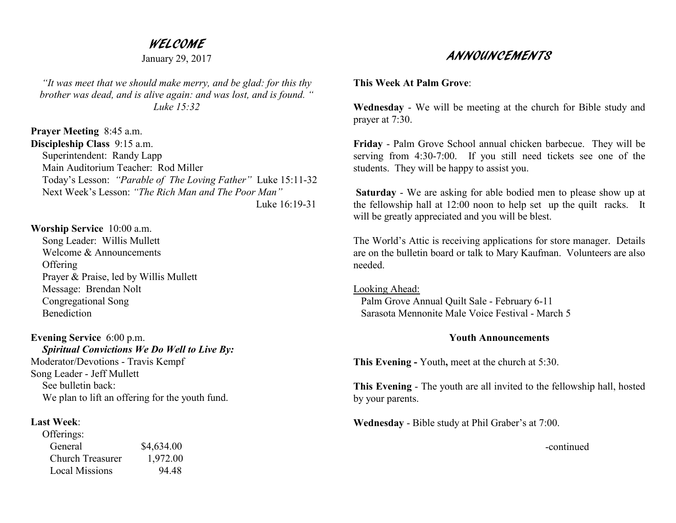## WELCOME

January 29, 2017

*"It was meet that we should make merry, and be glad: for this thy brother was dead, and is alive again: and was lost, and is found. " Luke 15:32* 

**Prayer Meeting** 8:45 a.m. **Discipleship Class** 9:15 a.m. Superintendent: Randy Lapp Main Auditorium Teacher: Rod Miller Today's Lesson: *"Parable of The Loving Father"* Luke 15:11-32 Next Week's Lesson: *"The Rich Man and The Poor Man"* Luke 16:19-31

### **Worship Service** 10:00 a.m.

 Song Leader: Willis Mullett Welcome & Announcements **Offering**  Prayer & Praise, led by Willis Mullett Message: Brendan Nolt Congregational Song Benediction

**Evening Service** 6:00 p.m. *Spiritual Convictions We Do Well to Live By:*Moderator/Devotions - Travis Kempf Song Leader - Jeff Mullett See bulletin back: We plan to lift an offering for the youth fund.

### **Last Week**:

| Offerings:              |            |
|-------------------------|------------|
| General                 | \$4,634.00 |
| <b>Church Treasurer</b> | 1,972.00   |
| <b>Local Missions</b>   | 94 48      |

# ANNOUNCEMENTS

### **This Week At Palm Grove**:

**Wednesday** - We will be meeting at the church for Bible study and prayer at 7:30.

**Friday** - Palm Grove School annual chicken barbecue. They will be serving from 4:30-7:00. If you still need tickets see one of the students. They will be happy to assist you.

**Saturday** - We are asking for able bodied men to please show up at the fellowship hall at 12:00 noon to help set up the quilt racks. It will be greatly appreciated and you will be blest.

The World's Attic is receiving applications for store manager. Details are on the bulletin board or talk to Mary Kaufman. Volunteers are also needed.

Looking Ahead: Palm Grove Annual Quilt Sale - February 6-11 Sarasota Mennonite Male Voice Festival - March 5

### **Youth Announcements**

**This Evening -** Youth**,** meet at the church at 5:30.

**This Evening** - The youth are all invited to the fellowship hall, hosted by your parents.

**Wednesday** - Bible study at Phil Graber's at 7:00.

-continued